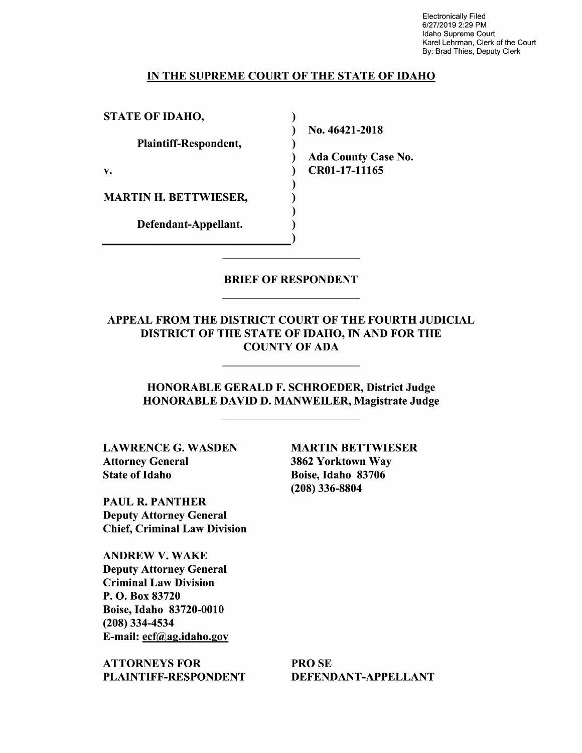Electronically Filed 6/27/2019 2:29 PM Idaho Supreme Court Karel Lehrman, Clerk of the Court By: Brad Thies, Deputy Clerk

### IN THE SUPREME COURT OF THE STATE OF IDAHO

)

)

) ) )

STATE OF IDAHO,

Plaintiff-Respondent,

v.

MARTIN H. BETTWIESER,

Defendant-Appellant.

) No. 46421-2018

) Ada County Case No. ) CR0l-17-11165

## BRIEF OF RESPONDENT

## APPEAL FROM THE DISTRICT COURT OF THE FOURTH JUDICIAL DISTRICT OF THE STATE OF IDAHO, IN AND FOR THE COUNTY OF ADA

HONORABLE GERALD F. SCHROEDER, District Judge HONORABLE DAVID D. MANWEILER, Magistrate Judge

LAWRENCE G. WASDEN Attorney General State of Idaho

MARTIN BETTWIESER 3862 Yorktown Way Boise, Idaho 83706 (208) 336-8804

PAUL R. PANTHER Deputy Attorney General Chief, Criminal Law Division

ANDREW V. WAKE Deputy Attorney General Criminal Law Division P. 0. Box 83720 Boise, Idaho 83720-0010 (208) 334-4534 E-mail: ecf@ag.idaho.gov

ATTORNEYS FOR PLAINTIFF-RESPONDENT

PROSE DEFENDANT-APPELLANT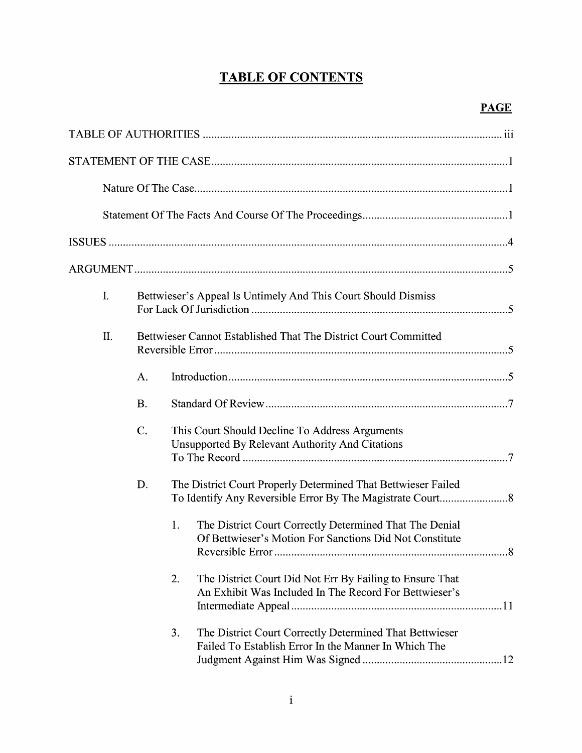# **TABLE OF CONTENTS**

| $I_{\cdot}$ |           | Bettwieser's Appeal Is Untimely And This Court Should Dismiss                                                            |  |  |  |  |
|-------------|-----------|--------------------------------------------------------------------------------------------------------------------------|--|--|--|--|
| II.         |           | Bettwieser Cannot Established That The District Court Committed                                                          |  |  |  |  |
|             | A.        |                                                                                                                          |  |  |  |  |
|             | <b>B.</b> |                                                                                                                          |  |  |  |  |
|             | $C$ .     | This Court Should Decline To Address Arguments<br><b>Unsupported By Relevant Authority And Citations</b>                 |  |  |  |  |
|             | D.        | The District Court Properly Determined That Bettwieser Failed                                                            |  |  |  |  |
|             |           | The District Court Correctly Determined That The Denial<br>1.<br>Of Bettwieser's Motion For Sanctions Did Not Constitute |  |  |  |  |
|             |           | The District Court Did Not Err By Failing to Ensure That<br>2.<br>An Exhibit Was Included In The Record For Bettwieser's |  |  |  |  |
|             |           | The District Court Correctly Determined That Bettwieser<br>3.<br>Failed To Establish Error In the Manner In Which The    |  |  |  |  |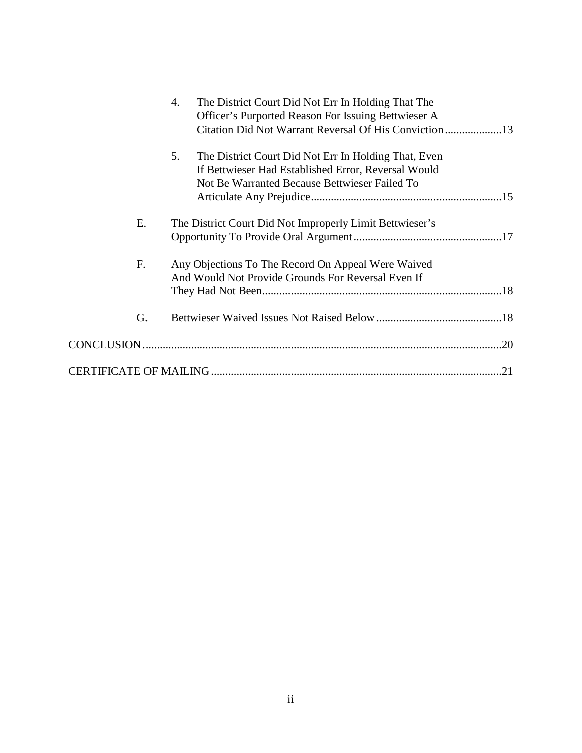|    | 4.<br>The District Court Did Not Err In Holding That The   |  |
|----|------------------------------------------------------------|--|
|    | Officer's Purported Reason For Issuing Bettwieser A        |  |
|    |                                                            |  |
|    | 5.<br>The District Court Did Not Err In Holding That, Even |  |
|    | If Bettwieser Had Established Error, Reversal Would        |  |
|    | Not Be Warranted Because Bettwieser Failed To              |  |
|    |                                                            |  |
| Е. | The District Court Did Not Improperly Limit Bettwieser's   |  |
|    |                                                            |  |
| F. | Any Objections To The Record On Appeal Were Waived         |  |
|    | And Would Not Provide Grounds For Reversal Even If         |  |
|    |                                                            |  |
| G. |                                                            |  |
|    |                                                            |  |
|    |                                                            |  |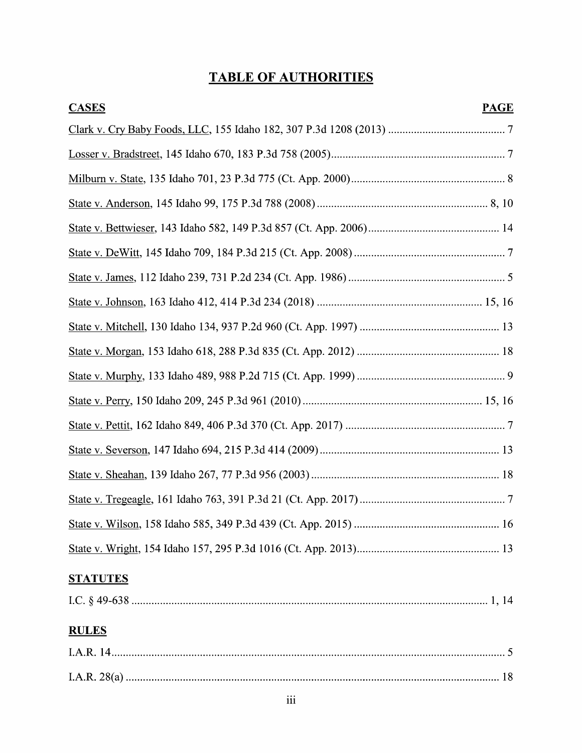# TABLE OF AUTHORITIES

| <b>CASES</b>    | <b>PAGE</b> |
|-----------------|-------------|
|                 |             |
|                 |             |
|                 |             |
|                 |             |
|                 |             |
|                 |             |
|                 |             |
|                 |             |
|                 |             |
|                 |             |
|                 |             |
|                 |             |
|                 |             |
|                 |             |
|                 |             |
|                 |             |
|                 |             |
|                 |             |
| <b>STATUTES</b> |             |
|                 |             |
| <b>RULES</b>    |             |
|                 |             |
|                 |             |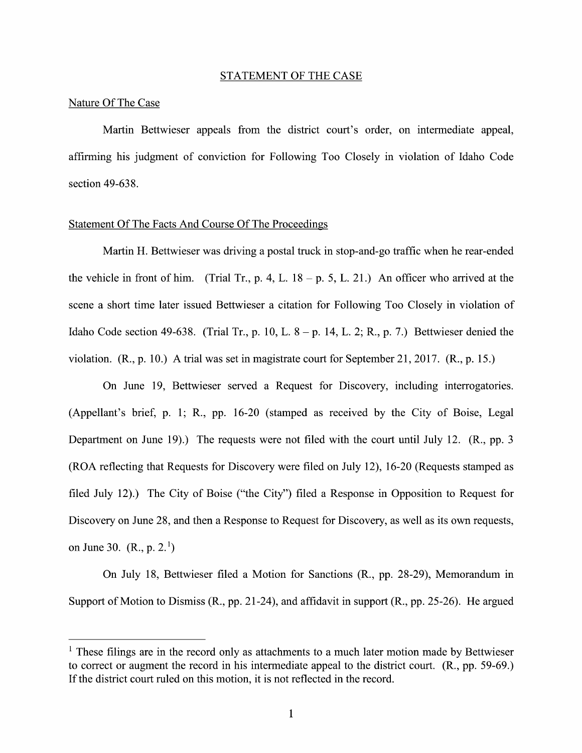#### STATEMENT OF THE CASE

#### Nature Of The Case

Martin Bettwieser appeals from the district court's order, on intermediate appeal, affirming his judgment of conviction for Following Too Closely in Violation 0f Idaho Code section 49-638.

#### Statement Of The Facts And Course Of The Proceedings

Martin H. Bettwieser was driving a postal truck in stop-and-go traffic when he rear-ended the vehicle in front of him. (Trial Tr., p. 4, L.  $18 - p$ , 5, L. 21.) An officer who arrived at the scene a short time later issued Bettwieser a citation for Following Too Closely in violation of Idaho Code section 49-638. (Trial Tr., p. 10, L.  $8 - p$ . 14, L. 2; R., p. 7.) Bettwieser denied the violation.  $(R_1, p. 10)$ . A trial was set in magistrate court for September 21, 2017.  $(R_1, p. 15)$ .

On June 19, Bettwieser served a Request for Discovery, including interrogatories. (Appellant's brief, p. 1; R., pp. 16-20 (stamped as received by the City 0f Boise, Legal Department on June 19).) The requests were not filed with the court until July 12. (R., pp. 3) (ROA reflecting that Requests for Discovery were filed on July 12), 16-20 (Requests stamped as filed July 12).) The City of Boise ("the City") filed a Response in Opposition to Request for Discovery on June 28, and then a Response to Request for Discovery, as well as its own requests, on June 30.  $(R., p. 2.<sup>1</sup>)$ 

On July 18, Bettwieser filed a Motion for Sanctions (R., pp. 28-29), Memorandum in Support of Motion to Dismiss (R., pp. 21-24), and affidavit in support (R., pp. 25-26). He argued

 $1$  These filings are in the record only as attachments to a much later motion made by Bettwieser to correct or augment the record in his intermediate appeal to the district court. (R., pp. 59-69.) If the district court ruled 0n this motion, it is not reflected in the record.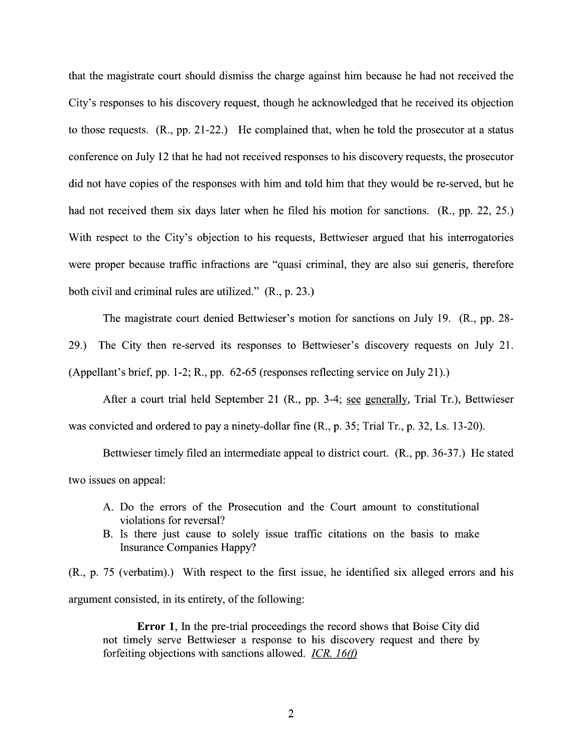that the magistrate court should dismiss the charge against him because he had not received the City's responses to his discovery request, though he acknowledged that he received its objection to those requests.  $(R., pp. 21-22.)$  He complained that, when he told the prosecutor at a status conference on July 12 that he had not received responses to his discovery requests, the prosecutor did not have copies of the responses with him and told him that they would be re-served, but he<br>had not received them six days later when he filed his motion for sanctions. (R., pp. 22, 25.) With respect to the City's objection to his requests, Bettwieser argued that his interrogatories were proper because traffic infractions are "quasi criminal, they are also sui generis, therefore both civil and criminal rules are utilized." (R., p. 23.)

The magistrate court denied Bettwieser's motion for sanctions on July 19. (R., pp. 28- 29.) The City then re-served its responses to Bettwieser's discovery requests on July 21. (Appellant's brief, pp. 1-2; R., pp. 62-65 (responses reflecting service 0n July 21).)

After a court trial held September 21 (R., pp. 3-4; see generally, Trial Tr.), Bettwieser was convicted and ordered to pay a ninety-dollar fine (R., p. 35; Trial Tr., p. 32, Ls. 13-20).

Bettwieser timely filed an intermediate appeal to district court. (R., pp. 36-37.) He stated two issues on appeal:

- A. D0 the errors of the Prosecution and the Court amount to constitutional violations for reversal?
- B. Is there just cause to solely issue traffic citations on the basis to make Insurance Companies Happy?

 $(R., p. 75$  (verbatim).) With respect to the first issue, he identified six alleged errors and his argument consisted, in its entirety, of the following:

Error 1, In the pre-trial proceedings the record shows that Boise City did not timely serve Bettwieser a response to his discovery request and there by forfeiting objections with sanctions allowed. *ICR.*  $16(f)$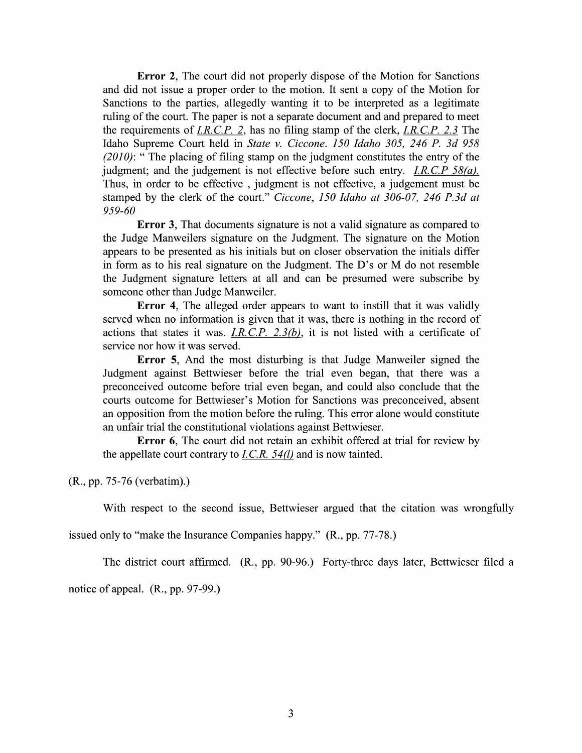Error 2, The court did not properly dispose of the Motion for Sanctions and did not issue a proper order to the motion. It sent a copy of the Motion for Sanctions to the parties, allegedly wanting it to be interpreted as a legitimate ruling of the court. The paper is not a separate document a Sanctions to the parties, allegedly wanting it to be interpreted as a legitimate the requirements of I.R.C.P. 2, has no filing stamp of the clerk, I.R.C.P. 2.3 The Idaho Supreme Court held in State v. Ciccone. I50 Idaho 305, 246 P. 3d 958  $(2010)$ : " The placing of filing stamp on the judgment constitutes the entry of the judgment; and the judgement is not effective before such entry. *I.R.C.P 58(a).* Thus, in order to be effective, judgment is not effective, a judgement must be stamped by the clerk of the court." Ciccone, 150 Idaho at 306-07, 246 P.3d at 959-60

**Error 3,** That documents signature is not a valid signature as compared to the Judge Manweilers signature 0n the Judgment. The signature on the Motion appears to be presented as his initials but on closer observation the initials differ in form as to his real signature on the Judgment. The D's or M do not resemble the Judgment signature letters at all and can be presumed were subscribe by someone other than Judge Manweiler.

Error 4, The alleged order appears to want to instill that it was validly served when no information is given that it was, there is nothing in the record of actions that states it was. I.R.C.P. 2.3(b), it is not listed with a certificate of service nor how it was served.

Error 5, And the most disturbing is that Judge Manweiler signed the Judgment against Bettwieser before the trial even began, that there was a preconceived outcome before trial even began, and could also conclude that the courts outcome for Bettwieser's Motion for Sanctions was preconceived, absent an opposition from the motion before the ruling. This error alone would constitute an unfair trial the constitutional violations against Bettwieser.

Error 6, The court did not retain an exhibit offered at trial for review by the appellate court contrary to  $I.C.R. 54(l)$  and is now tainted.

(R., pp. 75-76 (verbatim).)

With respect to the second issue, Bettwieser argued that the citation was wrongfully

issued only to "make the Insurance Companies happy." (R., pp. 77-78.)

The district court affirmed. (R., pp. 90-96.) Forty-three days later, Bettwieser filed a notice 0f appeal. (R., pp. 97-99.)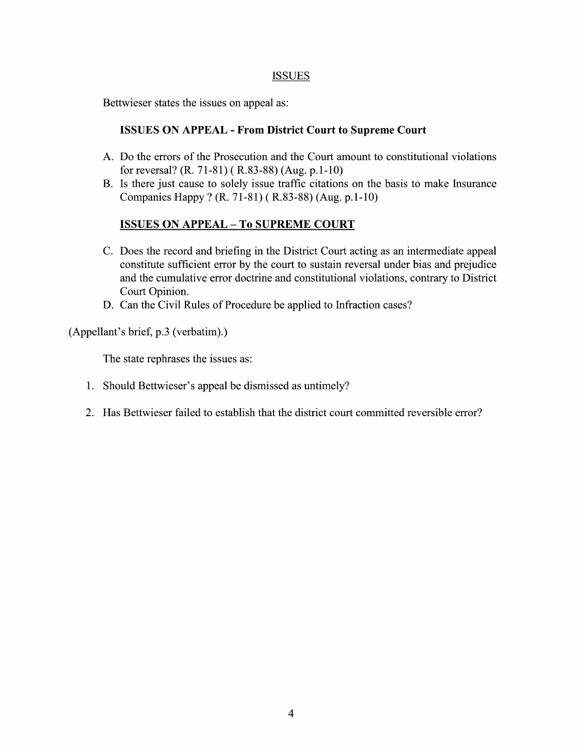## **ISSUES**

Bettwieser states the issues on appeal as:

## ISSUES ON APPEAL - From District Court to Supreme Court

- A. Do the errors of the Prosecution and the Court amount to constitutional violations for reversal? (R. 71-81) (R.83-88) (Aug. p.1-10)
- B. Is there just cause to solely issue traffic citations on the basis to make Insurance Companies Happy ? (R. 71-81) (R.83-88) (Aug. p.1-10)

## **ISSUES ON APPEAL - To SUPREME COURT**

- C. Does the record and briefing in the District Court acting as an intermediate appeal constitute sufficient error by the court to sustain reversal under bias and prejudice and the cumulative error doctrine and constitutional violations, contrary to District Court Opinion.
- D. Can the Civil Rules of Procedure be applied to Infraction cases?

(Appellant's brief, p.3 (verbatim).)

The state rephrases the issues as:

- 1. Should Bettwieser's appeal be dismissed as untimely?
- 2. Has Bettwieser failed to establish that the district court committed reversible error?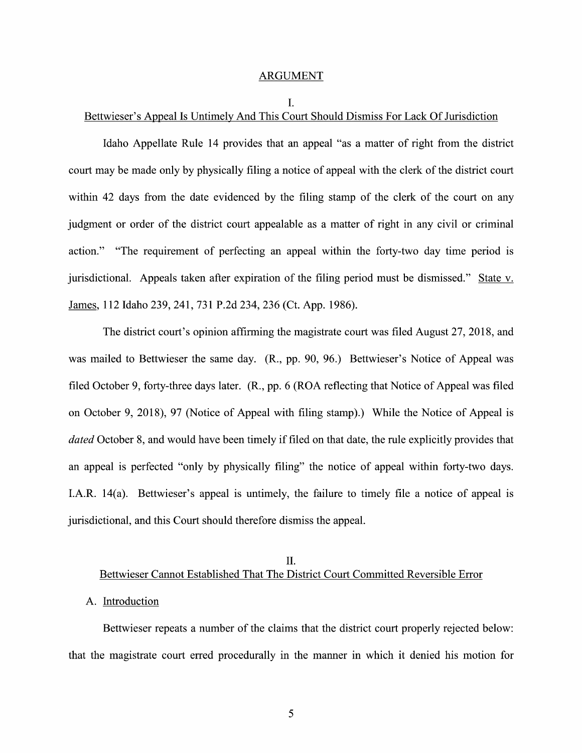#### ARGUMENT

I.

# Bettwieser's Appeal Is Untimely And This Court Should Dismiss For Lack Of Jurisdiction

Idaho Appellate Rule 14 provides that an appeal "as a matter of right from the district court may be made only by physically filing a notice of appeal with the clerk of the district court within 42 days from the date evidenced by the filing stamp of the clerk of the court on any judgment or order of the district court appealable as matter of right in any civil or criminal action." "The requirement of perfecting an appeal within the forty-two day time period is jurisdictional. Appeals taken after expiration of the filing period must be dismissed." State v. James, 112 Idaho 239, 241, 731 P.2d 234, 236 (Ct. App. 1986).

The district court's opinion affirming the magistrate court was filed August 27, 2018, and was mailed to Bettwieser the same day. (R., pp. 90, 96.) Bettwieser's Notice of Appeal was filed October 9, forty-three days later. (R., pp. 6 (ROA reflecting that Notice of Appeal was filed 0n October 9, 2018), 97 (Notice of Appeal with filing stamp).) While the Notice of Appeal is dated October 8, and would have been timely if filed on that date, the rule explicitly provides that an appeal is perfected "only by physically filing" the notice of appeal within forty-two days. I.A.R.  $14(a)$ . Bettwieser's appeal is untimely, the failure to timely file a notice of appeal is jurisdictional, and this Court should therefore dismiss the appeal.

## II. Bettwieser Cannot Established That The District Court Committed Reversible Error

### A. Introduction

Bettwieser repeats a number of the claims that the district court properly rejected below: that the magistrate court erred procedurally in the manner in Which itdenied his motion for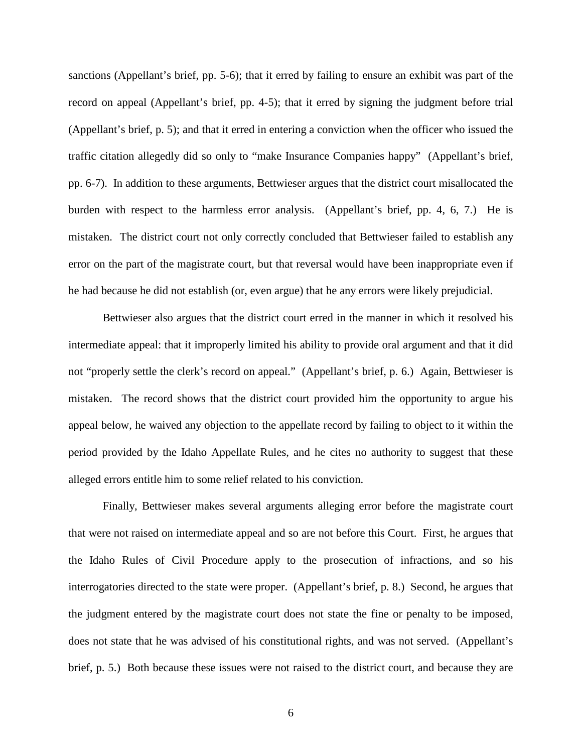sanctions (Appellant's brief, pp. 5-6); that it erred by failing to ensure an exhibit was part of the record on appeal (Appellant's brief, pp. 4-5); that it erred by signing the judgment before trial (Appellant's brief, p. 5); and that it erred in entering a conviction when the officer who issued the traffic citation allegedly did so only to "make Insurance Companies happy" (Appellant's brief, pp. 6-7). In addition to these arguments, Bettwieser argues that the district court misallocated the burden with respect to the harmless error analysis. (Appellant's brief, pp. 4, 6, 7.) He is mistaken. The district court not only correctly concluded that Bettwieser failed to establish any error on the part of the magistrate court, but that reversal would have been inappropriate even if he had because he did not establish (or, even argue) that he any errors were likely prejudicial.

Bettwieser also argues that the district court erred in the manner in which it resolved his intermediate appeal: that it improperly limited his ability to provide oral argument and that it did not "properly settle the clerk's record on appeal." (Appellant's brief, p. 6.) Again, Bettwieser is mistaken. The record shows that the district court provided him the opportunity to argue his appeal below, he waived any objection to the appellate record by failing to object to it within the period provided by the Idaho Appellate Rules, and he cites no authority to suggest that these alleged errors entitle him to some relief related to his conviction.

Finally, Bettwieser makes several arguments alleging error before the magistrate court that were not raised on intermediate appeal and so are not before this Court. First, he argues that the Idaho Rules of Civil Procedure apply to the prosecution of infractions, and so his interrogatories directed to the state were proper. (Appellant's brief, p. 8.) Second, he argues that the judgment entered by the magistrate court does not state the fine or penalty to be imposed, does not state that he was advised of his constitutional rights, and was not served. (Appellant's brief, p. 5.) Both because these issues were not raised to the district court, and because they are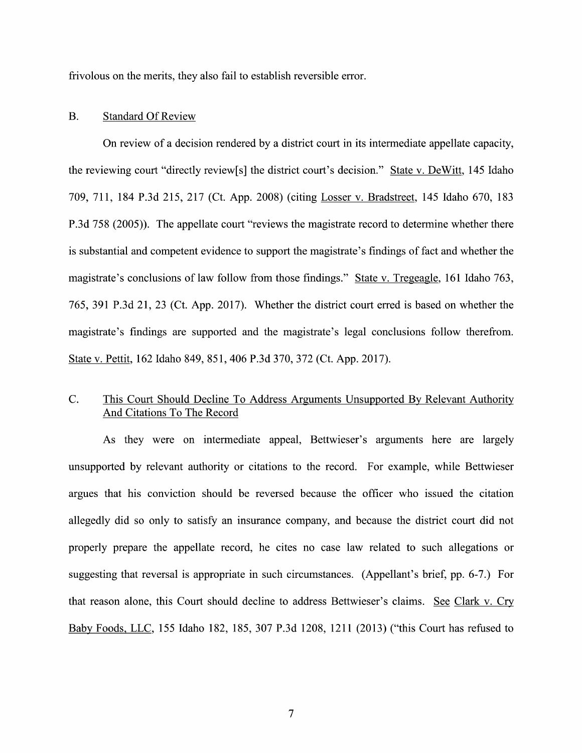frivolous on the merits, they also fail to establish reversible error.

## B. Standard Of Review

On review of a decision rendered by a district court in its intermediate appellate capacity, the reviewing court "directly review[s] the district court's decision." State V. DeWitt, 145 Idaho 709, 711, 184 P.3d 215, 217 (Ct. App. 2008) (citing Losser V. Bradstreet, 145 Idaho 670, 183 P.3d 758 (2005)). The appellate court "reviews the magistrate record to determine whether there is substantial and competent evidence to support the magistrate's findings of fact and whether the magistrate's conclusions of law follow from those findings." State v. Tregeagle, 161 Idaho 763, 765, 391 P.3d 21, 23 (Ct. App. 2017). Whether the district court erred is based on whether the magistrate's findings are supported and the magistrate's legal conclusions follow therefrom. State V. Pettit, 162 Idaho 849, 851, 406 P.3d 370, 372 (Ct. App. 2017).

## C. This Court Should Decline T0 Address Arguments Unsupported BV Relevant Authority And Citations T0 The Record

As they were 0n intermediate appeal, Bettwieser's arguments here are largely unsupported by relevant authority or citations to the record. For example, while Bettwieser argues that his conviction should be reversed because the officer who issued the citation allegedly did so only to satisfy an insurance company, and because the district court did not properly prepare the appellate record, he cites no case law related to such allegations or suggesting that reversal is appropriate in such circumstances. (Appellant's brief, pp. 6-7.) For that reason alone, this Court should decline to address Bettwieser's claims. See Clark v. Cry Baby Foods, LLC, 155 Idaho 182, 185, 307 P.3d 1208, 1211 (2013) ("this Court has refused to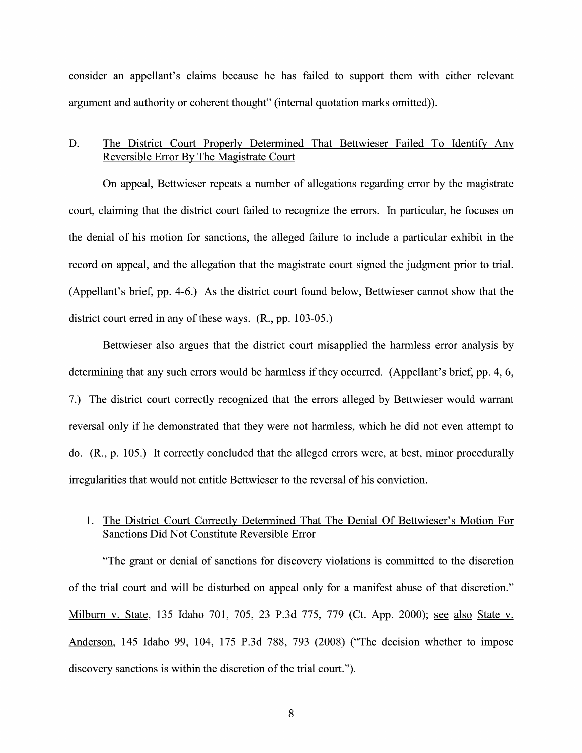consider an appellant's claims because he has failed to support them with either relevant argument and authority or coherent thought" (internal quotation marks omitted)).

## D. The District Court Properly Determined That Bettwieser Failed To Identify AnV Reversible Error BV The Magistrate Court

On appeal, Bettwieser repeats a number of allegations regarding error by the magistrate court, claiming that the district court failed to recognize the errors. In particular, he focuses on the denial of his motion for sanctions, the alleged failure to include a particular exhibit in the record on appeal, and the allegation that the magistrate court signed the judgment prior to trial. (Appellant's brief, pp. 4-6.) As the district court found below, Bettwieser cannot show that the district court erred in any 0f these ways. (R., pp. 103-05.)

Bettwieser also argues that the district court misapplied the harmless error analysis by determining that any such errors would be harmless if they occurred. (Appellant's brief, pp. 4, 6, 7.) The district court correctly recognized that the errors alleged by Bettwieser would warrant reversal only if he demonstrated that they were not harmless, which he did not even attempt to do. (R., p. 105.) It correctly concluded that the alleged errors were, at best, minor procedurally irregularities that would not entitle Bettwieser to the reversal 0f his conviction.

## 1. The District Court Correctly Determined That The Denial Of Bettwieser's Motion For Sanctions Did Not Constitute Reversible Error

"The grant or denial of sanctions for discovery violations is committed to the discretion of the trial court and will be disturbed on appeal only for a manifest abuse of that discretion." Milburn v. State, 135 Idaho 701, 705, 23 P.3d 775, 779 (Ct. App. 2000); see also State v. Anderson, 145 Idaho 99, 104, 175 P.3d 788, 793 (2008) ("The decision Whether to impose discovery sanctions is within the discretion of the trial court.").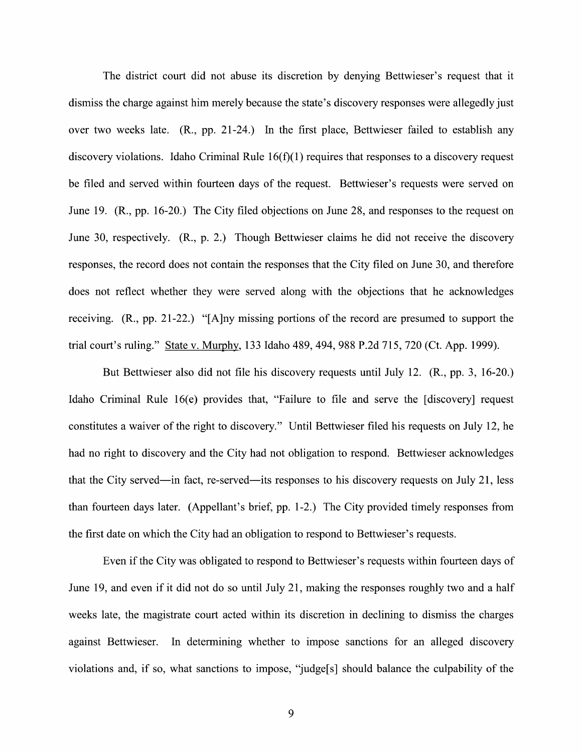The district court did not abuse its discretion by denying Bettwieser's request that it dismiss the charge against him merely because the state's discovery responses were allegedly just over two weeks late. (R., pp. 21-24.) In the first place, Bettwieser failed to establish any discovery violations. Idaho Criminal Rule  $16(f)(1)$  requires that responses to a discovery request be filed and served within fourteen days of the request. Bettwieser's requests were served on June 19. (R., pp. 16-20.) The City filed objections on June 28, and responses to the request on June 30, respectively. (R., p. 2.) Though Bettwieser claims he did not receive the discovery responses, the record does not contain the responses that the City filed on June 30, and therefore does not reflect Whether they were served along With the objections that he acknowledges receiving. (R., pp. 21-22.) "[A]ny missing portions 0f the record are presumed to support the trial court's ruling." State v. Murphy, 133 Idaho 489, 494, 988 P.2d 715, 720 (Ct. App. 1999).

But Bettwieser also did not file his discovery requests until July 12. (R., pp. 3, 16-20.) Idaho Criminal Rule 16(e) provides that, "Failure to file and serve the [discovery] request constitutes a waiver of the right to discovery." Until Bettwieser filed his requests on July 12, he had no right to discovery and the City had not obligation to respond. Bettwieser acknowledges that the City served—in fact, re-served—its responses to his discovery requests 0n July 21, less than fourteen days later. (Appellant's brief, pp. 1-2.) The City provided timely responses from the first date on Which the City had an obligation to respond to Bettwieser's requests.

Even if the City was obligated to respond to Bettwieser's requests within fourteen days of June 19, and even if it did not do so until July 21, making the responses roughly two and half weeks late, the magistrate court acted within its discretion in declining to dismiss the charges against Bettwieser. In determining Whether to impose sanctions for an alleged discovery violations and, if so, what sanctions to impose, "judge[s] should balance the culpability of the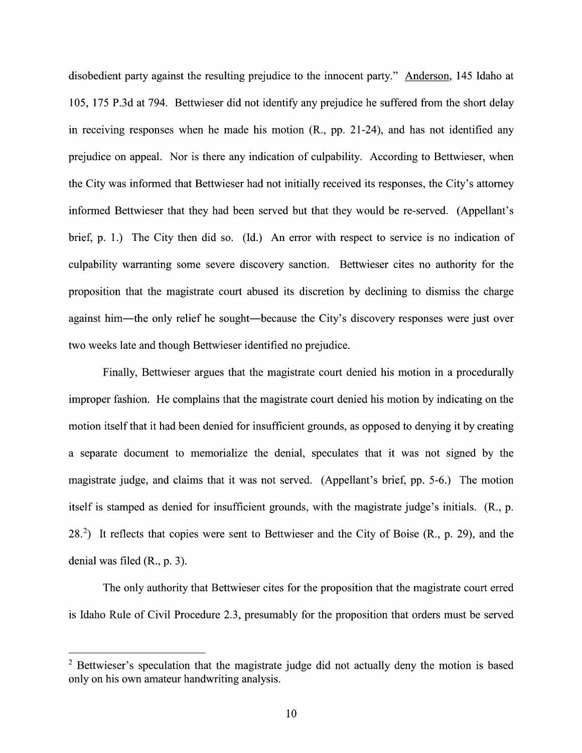disobedient party against the resulting prejudice to the innocent party." Anderson, 145 Idaho at 105, 175 P.3d at 794. Bettwieser did not identify any prejudice he suffered from the short delay in receiving responses when he made his motion (R., pp. 21-24), and has not identified any prejudice 0n appeal. Nor is there any indication of culpability. According to Bettwieser, when the City was informed that Bettwieser had not initially received its responses, the City's attorney informed Bettwieser that they had been served but that they would be re-served. (Appellant's brief, p. 1.) The City then did so. (Id.) An error with respect to service is no indication of culpability warranting some severe discovery sanction. Bettwieser cites no authority for the proposition that the magistrate court abused its discretion by declining to dismiss the charge against him—the only relief he sought—because the City's discovery responses were just over two weeks late and though Bettwieser identified no prejudice.

Finally, Bettwieser argues that the magistrate court denied his motion in a procedurally improper fashion. He complains that the magistrate court denied his motion by indicating on the motion itself that it had been denied for insufficient grounds, as opposed to denying itby creating a separate document to memorialize the denial, speculates that it was not signed by the magistrate judge, and claims that it was not served. (Appellant's brief, pp. 5-6.) The motion itself is stamped as denied for insufficient grounds, with the magistrate judge's initials. (R., p. 28.2) It reflects that copies were sent to Bettwieser and the City of Boise (R., p. 29), and the denial was filed (R., p. 3).

The only authority that Bettwieser cites for the proposition that the magistrate court erred is Idaho Rule of Civil Procedure 2.3, presumably for the proposition that orders must be served

 $2$  Bettwieser's speculation that the magistrate judge did not actually deny the motion is based only on his own amateur handwriting analysis.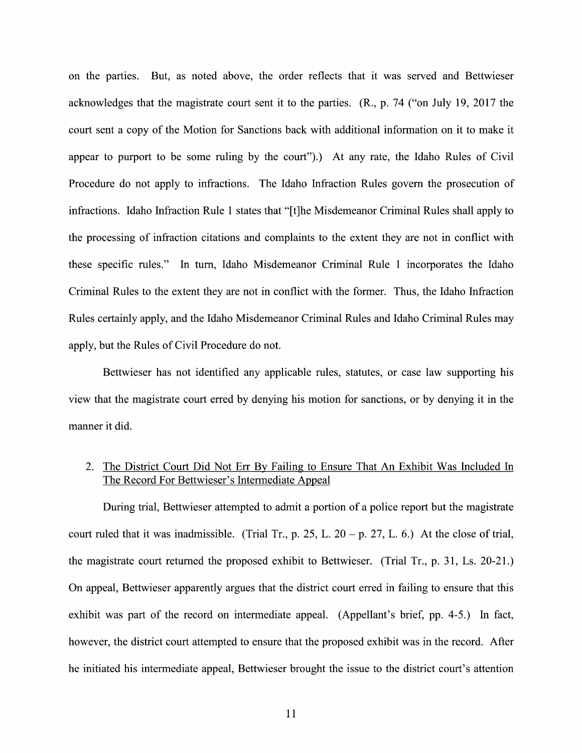on the parties. But, as noted above, the order reflects that it was served and Bettwieser acknowledges that the magistrate court sent it to the parties. (R., p. 74 ("on July 19, 2017 the court sent a copy of the Motion for Sanctions back with additional information on it to make it appear to purport to be some ruling by the court").) At any rate, the Idaho Rules of Civil Procedure do not apply to infractions. The Idaho Infraction Rules govern the prosecution of infractions. Idaho Infraction Rule 1 states that "[t]he Misdemeanor Criminal Rules shall apply to the processing of infraction citations and complaints to the extent they are not in conflict with these specific rules." In turn, Idaho Misdemeanor Criminal Rule 1 incorporates the Idaho Criminal Rules to the extent they are not in conflict with the former. Thus, the Idaho Infraction Rules certainly apply, and the Idaho Misdemeanor Criminal Rules and Idaho Criminal Rules may apply, but the Rules of Civil Procedure do not.

Bettwieser has not identified any applicable rules, statutes, or case law supporting his View that the magistrate court erred by denying his motion for sanctions, or by denying it in the manner it did.

## 2. The District Court Did Not Err By Failing to Ensure That An Exhibit Was Included In The Record For Bettwieser's Intermediate Appeal

During trial, Bettwieser attempted to admit a portion of a police report but the magistrate court ruled that it was inadmissible. (Trial Tr., p. 25, L.  $20 - p$ . 27, L. 6.) At the close of trial, the magistrate court returned the proposed exhibit to Bettwieser. (Trial Tr., p. 31, Ls. 20-21.) On appeal, Bettwieser apparently argues that the district court erred in failing to ensure that this exhibit was part of the record 0n intermediate appeal. (Appellant's brief, pp. 4-5.) In fact, however, the district court attempted to ensure that the proposed exhibit was in the record. After he initiated his intermediate appeal, Bettwieser brought the issue to the district court's attention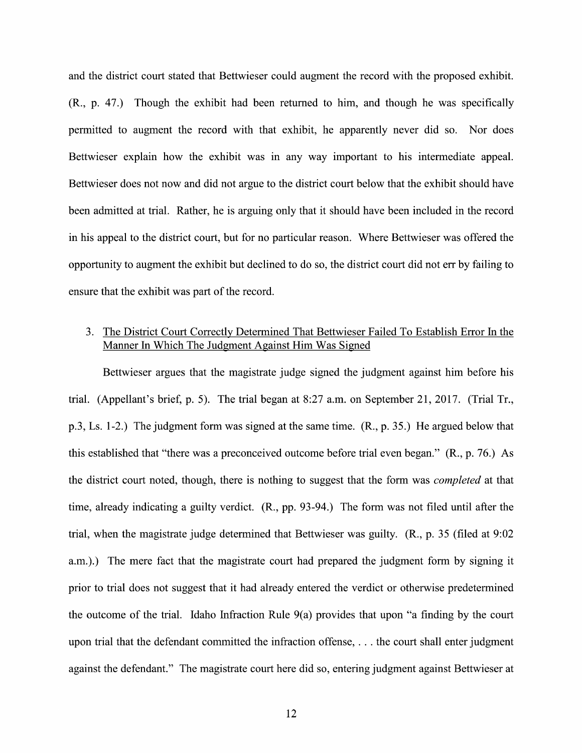and the district court stated that Bettwieser could augment the record With the proposed exhibit. (R., p. 47.) Though the exhibit had been returned to him, and though he was specifically permitted to augment the record with that exhibit, he apparently never did so. Nor does Bettwieser explain how the exhibit was in any way important to his intermediate appeal. Bettwieser does not now and did not argue to the district court below that the exhibit should have been admitted at trial. Rather, he is arguing only that it should have been included in the record in his appeal to the district court, but for no particular reason. Where Bettwieser was offered the opportunity to augment the exhibit but declined to do so, the district court did not err by failing to ensure that the exhibit was part of the record.

## 3. The District Court Correctly Determined That Bettwieser Failed To Establish Error In the Manner In Which The Judgment Against Him Was Signed

Bettwieser argues that the magistrate judge signed the judgment against him before his trial. (Appellant's brief, p. 5). The trial began at 8:27 a.m. on September 21, 2017. (Trial Tr., p.3, Ls. 1-2.) The judgment form was signed at the same time. (R., p. 35.) He argued below that this established that "there was a preconceived outcome before trial even began."  $(R., p. 76.)$  As the district court noted, though, there is nothing to suggest that the form was *completed* at that time, already indicating a guilty verdict. (R., pp. 93-94.) The form was not filed until after the trial, When the magistrate judge determined that Bettwieser was guilty. (R., p. 35 (filed at 9:02 a.m.).) The mere fact that the magistrate court had prepared the judgment form by signing it prior to trial does not suggest that it had already entered the verdict 0r otherwise predetermined the outcome of the trial. Idaho Infraction Rule 9(a) provides that upon "a finding by the court upon trial that the defendant committed the infraction offense, . . the court shall enter judgment against the defendant." The magistrate court here did so, entering judgment against Bettwieser at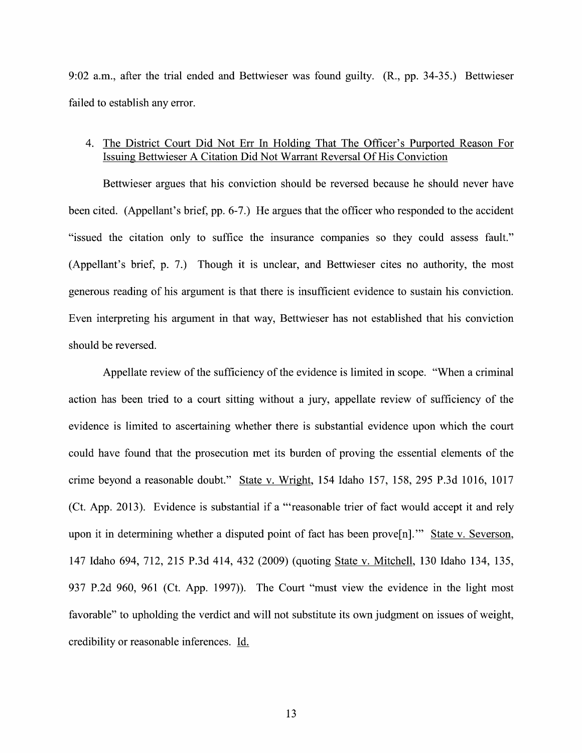9:02 a.m., after the trial ended and Bettwieser was found guilty. (R., pp. 34-35.) Bettwieser failed to establish any error.

## 4. The District Court Did Not Err In Holding That The Officer's Purported Reason For Issuing Bettwieser A Citation Did Not Warrant Reversal Of His Conviction

Bettwieser argues that his conviction should be reversed because he should never have been cited. (Appellant's brief, pp. 6-7.) He argues that the officer who responded to the accident "issued the citation only to suffice the insurance companies so they could assess fault." (Appellant's brief, p. 7.) Though it is unclear, and Bettwieser cites no authority, the most generous reading 0f his argument is that there is insufficient evidence to sustain his conviction. Even interpreting his argument in that way, Bettwieser has not established that his conviction should be reversed.

Appellate review of the sufficiency of the evidence is limited in scope. "When a criminal action has been tried to a court sitting without a jury, appellate review of sufficiency of the evidence is limited t0 ascertaining whether there is substantial evidence upon which the court could have found that the prosecution met its burden of proving the essential elements of the crime beyond a reasonable doubt." State v. Wright, 154 Idaho 157, 158, 295 P.3d 1016, 1017 (Ct. App. 2013). Evidence is substantial if a "reasonable trier of fact would accept it and rely upon it in determining whether a disputed point of fact has been prove $[n]$ ." State v. Severson, 147 Idaho 694, 712, 215 P.3d 414, 432 (2009) (quoting State V. Mitchell, 130 Idaho 134, 135, 937 P.2d 960, 961 (Ct. App. 1997)). The Court "must View the evidence in the light most favorable" to upholding the verdict and will not substitute its own judgment on issues of weight, credibility or reasonable inferences. Id.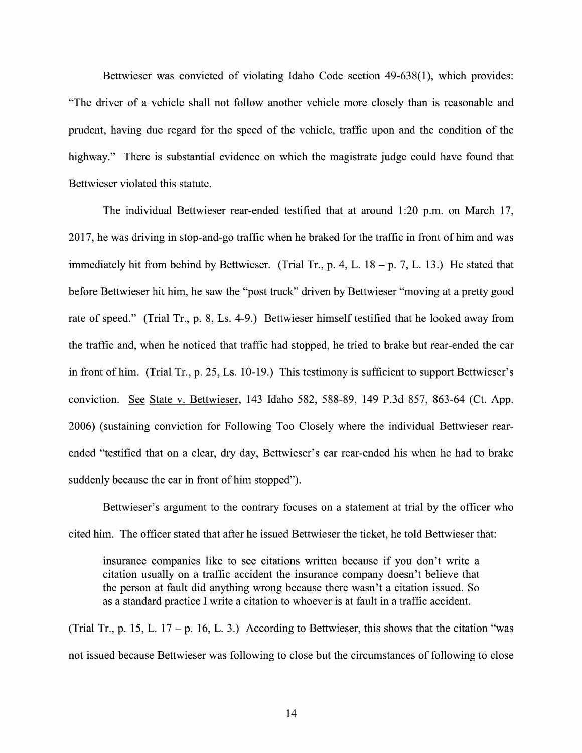Bettwieser was convicted of violating Idaho Code section 49-638(1), which provides: "The driver of a vehicle shall not follow another vehicle more closely than is reasonable and prudent, having due regard for the speed of the vehicle, traffic upon and the condition of the highway." There is substantial evidence on which the magistrate judge could have found that Bettwieser violated this statute.

The individual Bettwieser rear-ended testified that at around 1:20 p.m. on March 17, 2017, he was driving in stop—and-go traffic When he braked for the traffic in front 0f him and was immediately hit from behind by Bettwieser. (Trial Tr., p. 4, L.  $18 - p$ . 7, L. 13.) He stated that before Bettwieser hit him, he saw the "post truck" driven by Bettwieser "moving at a pretty good rate 0f speed." (Trial Tr., p. 8, Ls. 4-9.) Bettwieser himself testified that he looked away from the traffic and, when he noticed that traffic had stopped, he tried to brake but rear-ended the car in front of him. (Trial Tr., p. 25, Ls. 10-19.) This testimony is sufficient to support Bettwieser's conviction. See State v. Bettwieser, 143 Idaho 582, 588-89, 149 P.3d 857, 863-64 (Ct. App. 2006) (sustaining conviction for Following T00 Closely where the individual Bettwieser rearended "testified that on a clear, dry day, Bettwieser's car rear-ended his when he had to brake suddenly because the car in front of him stopped").

Bettwieser's argument to the contrary focuses on a statement at trial by the officer who cited him. The officer stated that after he issued Bettwieser the ticket, he told Bettwieser that:

insurance companies like to see citations written because if you don't write citation usually on a traffic accident the insurance company doesn't believe that the person at fault did anything wrong because there wasn't a citation issued. So as a standard practice I write a citation to whoever is at fault in a traffic accident.

(Trial Tr., p. 15, L. 17 – p. 16, L. 3.) According to Bettwieser, this shows that the citation "was not issued because Bettwieser was following to close but the circumstances of following to close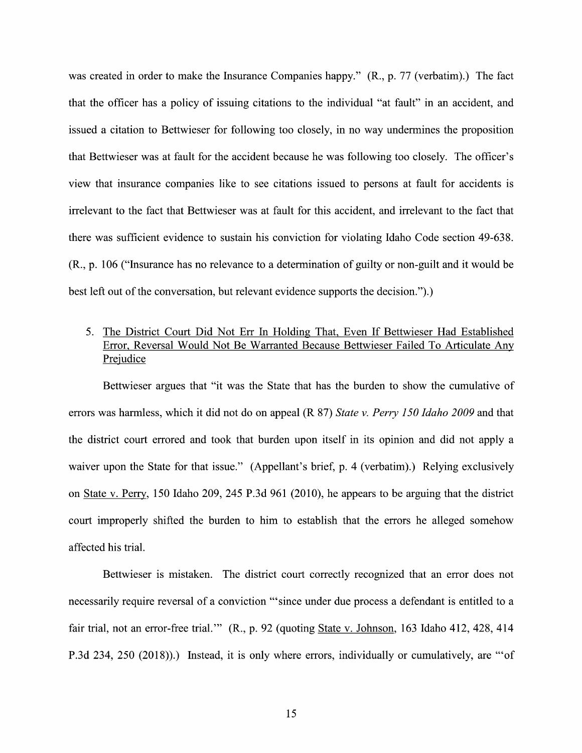was created in order to make the Insurance Companies happy." (R., p. 77 (verbatim).) The fact that the officer has policy of issuing citations to the individual "at fault" in an accident, and issued a citation to Bettwieser for following too closely, in no way undermines the proposition that Bettwieser was at fault for the accident because he was following too closely. The officer's View that insurance companies like t0 see citations issued to persons at fault for accidents is irrelevant to the fact that Bettwieser was at fault for this accident, and irrelevant to the fact that there was sufficient evidence to sustain his conviction for violating Idaho Code section 49-638. (R., p. 106 ("Insurance has no relevance to determination of guilty 0r non-guilt and it would be best left out of the conversation, but relevant evidence supports the decision.").)

# 5. The District Court Did Not Err In Holding That, Even If Bettwieser Had Established Error, Reversal Would Not Be Warranted Because Bettwieser Failed T0 Articulate AnV Prejudice

Bettwieser argues that "it was the State that has the burden to show the cumulative of errors was harmless, which it did not do on appeal (R 87) State v. Perry 150 Idaho 2009 and that the district court errored and took that burden upon itself in its opinion and did not apply waiver upon the State for that issue." (Appellant's brief, p. 4 (verbatim).) Relying exclusively on State v. Perry, 150 Idaho 209, 245 P.3d 961 (2010), he appears to be arguing that the district court improperly shifted the burden to him to establish that the errors he alleged somehow affected his trial.

Bettwieser is mistaken. The district court correctly recognized that an error does not necessarily require reversal of a conviction "'since under due process a defendant is entitled to a fair trial, not an error-free trial."" (R., p. 92 (quoting State v. Johnson, 163 Idaho 412, 428, 414) P.3d 234, 250 (2018)).) Instead, it is only where errors, individually or cumulatively, are "'of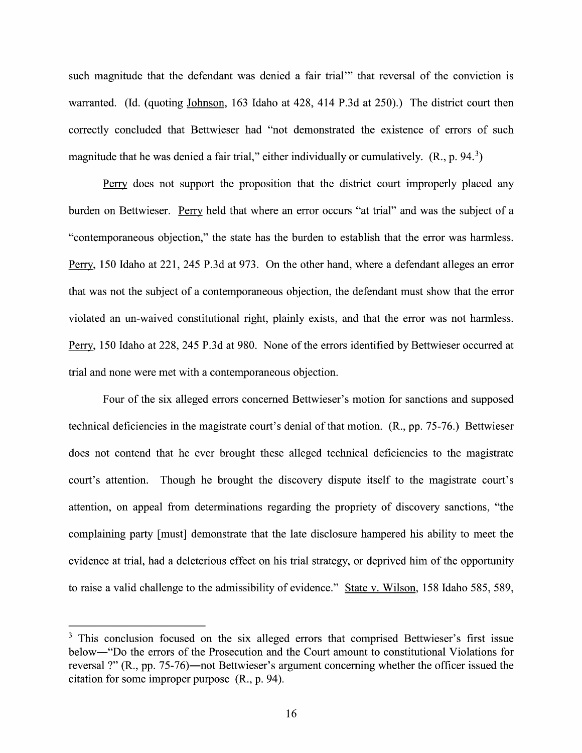such magnitude that the defendant was denied a fair trial'" that reversal of the conviction is warranted. (Id. (quoting Johnson, 163 Idaho at 428, 414 P.3d at 250).) The district court then correctly concluded that Bettwieser had "not demonstrated the existence of errors of such magnitude that he was denied a fair trial," either individually or cumulatively.  $(R., p. 94<sup>3</sup>)$ 

Perry does not support the proposition that the district court improperly placed any burden on Bettwieser. Perry held that where an error occurs "at trial" and was the subject of a "contemporaneous objection," the state has the burden to establish that the error was harmless. Perry, 150 Idaho at 221, 245 P.3d at 973. On the other hand, where a defendant alleges an error that was not the subject of a contemporaneous objection, the defendant must show that the error violated an un-waived constitutional right, plainly exists, and that the error was not harmless. Perry, 150 Idaho at 228, 245 P.3d at 980. None of the errors identified by Bettwieser occurred at trial and none were met with a contemporaneous objection.

Four of the six alleged errors concerned Bettwieser's motion for sanctions and supposed technical deficiencies in the magistrate court's denial of that motion. (R., pp. 75-76.) Bettwieser does not contend that he ever brought these alleged technical deficiencies to the magistrate court's attention. Though he brought the discovery dispute itself to the magistrate court's attention, on appeal from determinations regarding the propriety of discovery sanctions, "the complaining party [must] demonstrate that the late disclosure hampered his ability to meet the evidence at trial, had a deleterious effect on his trial strategy, or deprived him of the opportunity to raise a valid challenge to the admissibility of evidence." State v. Wilson, 158 Idaho 585, 589,

<sup>&</sup>lt;sup>3</sup> This conclusion focused on the six alleged errors that comprised Bettwieser's first issue below—"Do the errors of the Prosecution and the Court amount to constitutional Violations for reversal ?" (R., pp. 75-76)—n0t Bettwieser's argument concerning Whether the officer issued the citation for some improper purpose (R., p. 94).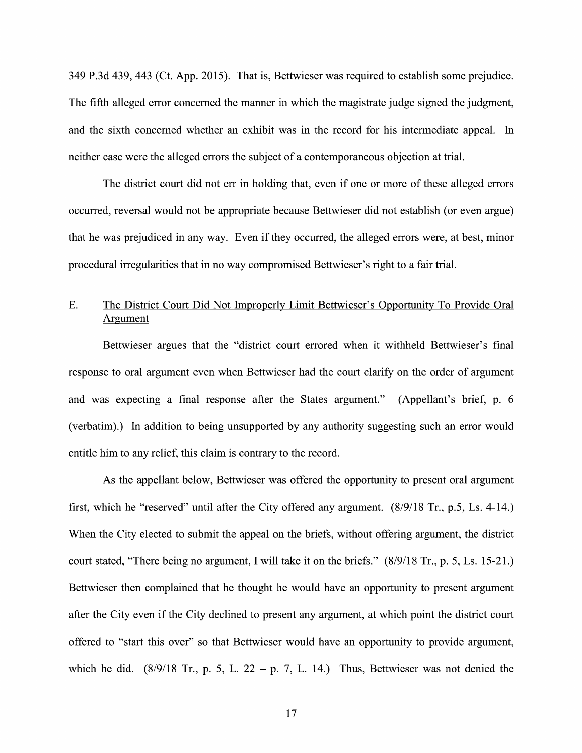349 P.3d 439, 443 (Ct. App. 2015). That is, Bettwieser was required t0 establish some prejudice. The fifth alleged error concerned the manner in which the magistrate judge signed the judgment, and the sixth concerned Whether an exhibit was in the record for his intermediate appeal. In neither case were the alleged errors the subject of a contemporaneous objection at trial.

The district court did not err in holding that, even if one or more of these alleged errors occurred, reversal would not be appropriate because Bettwieser did not establish (0r even argue) that he was prejudiced in any way. Even if they occurred, the alleged errors were, at best, minor procedural irregularities that in no way compromised Bettwieser's right to a fair trial.

# E. The District Court Did Not Improperly Limit Bettwieser's Opportunity To Provide Oral Argument

Bettwieser argues that the "district court errored when it withheld Bettwieser's final response to oral argument even When Bettwieser had the court clarify on the order of argument and was expecting a final response after the States argument." (Appellant's brief, p.  $6$ (verbatim).) In addition to being unsupported by any authority suggesting such an error would entitle him to any relief, this claim is contrary to the record.

As the appellant below, Bettwieser was offered the opportunity to present oral argument first, which he "reserved" until after the City offered any argument. (8/9/18 Tr., p.5, Ls. 4-14.) When the City elected to submit the appeal on the briefs, without offering argument, the district court stated, "There being no argument, I will take it on the briefs."  $(8/9/18$  Tr., p. 5, Ls. 15-21.) Bettwieser then complained that he thought he would have an opportunity to present argument after the City even if the City declined to present any argument, at which point the district court offered t0 "start this over" so that Bettwieser would have an opportunity to provide argument, which he did.  $(8/9/18$  Tr., p. 5, L. 22 - p. 7, L. 14.) Thus, Bettwieser was not denied the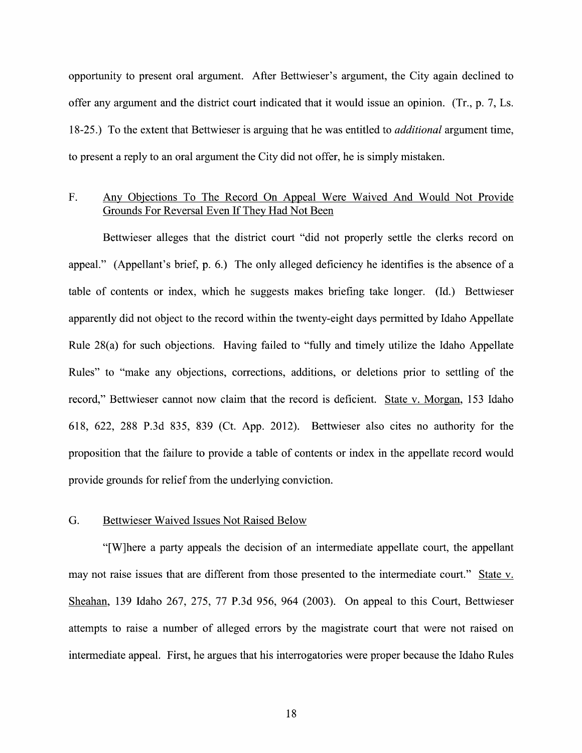opportunity to present oral argument. After Bettwieser's argument, the City again declined to offer any argument and the district court indicated that it would issue an opinion. (Tr., p.  $7$ , Ls.) 18-25.) To the extent that Bettwieser is arguing that he was entitled to *additional* argument time, to present a reply to an oral argument the City did not offer, he is simply mistaken.

## F. Any Objections To The Record On Appeal Were Waived And Would Not Provide Grounds For Reversal Even If They Had Not Been

Bettwieser alleges that the district court "did not properly settle the clerks record 0n appeal." (Appellant's brief, p. 6.) The only alleged deficiency he identifies is the absence of a table of contents or index, which he suggests makes briefing take longer. (Id.) Bettwieser apparently did not object to the record within the twenty-eight days permitted by Idaho Appellate Rule 28(a) for such objections. Having failed to "fully and timely utilize the Idaho Appellate Rules" to "make any objections, corrections, additions, or deletions prior to settling of the record," Bettwieser cannot now claim that the record is deficient. State v. Morgan, 153 Idaho 618, 622, 288 P.3d 835, 839 (Ct. App. 2012). Bettwieser also cites no authority for the proposition that the failure to provide a table of contents or index in the appellate record would provide grounds for relief from the underlying conviction.

### G. Bettwieser Waived Issues Not Raised Below

"[W]here a party appeals the decision of an intermediate appellate court, the appellant may not raise issues that are different from those presented to the intermediate court." State v.<br>Sheahan, 139 Idaho 267, 275, 77 P.3d 956, 964 (2003). On appeal to this Court, Bettwieser attempts to raise a number of alleged errors by the magistrate court that were not raised on intermediate appeal. First, he argues that his interrogatories were proper because the Idaho Rules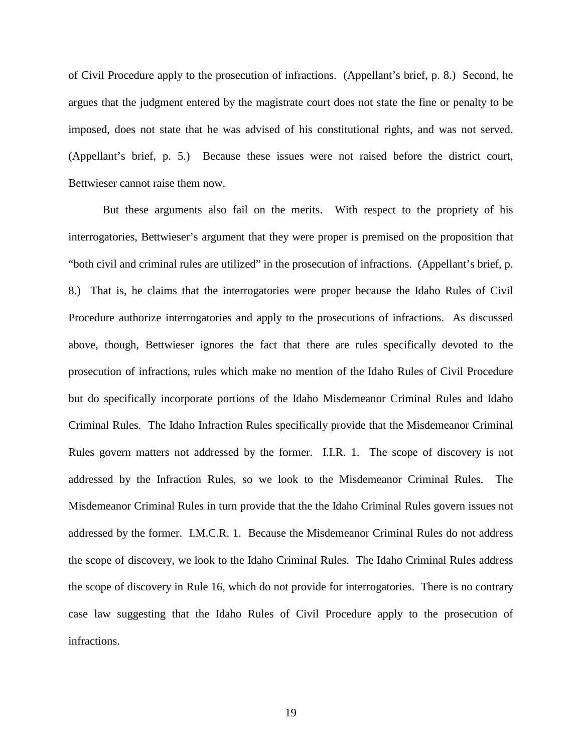of Civil Procedure apply to the prosecution of infractions. (Appellant's brief, p. 8.) Second, he argues that the judgment entered by the magistrate court does not state the fine or penalty to be imposed, does not state that he was advised of his constitutional rights, and was not served. (Appellant's brief, p. 5.) Because these issues were not raised before the district court, Bettwieser cannot raise them now.

But these arguments also fail on the merits. With respect to the propriety of his interrogatories, Bettwieser's argument that they were proper is premised on the proposition that "both civil and criminal rules are utilized" in the prosecution of infractions. (Appellant's brief, p. 8.) That is, he claims that the interrogatories were proper because the Idaho Rules of Civil Procedure authorize interrogatories and apply to the prosecutions of infractions. As discussed above, though, Bettwieser ignores the fact that there are rules specifically devoted to the prosecution of infractions, rules which make no mention of the Idaho Rules of Civil Procedure but do specifically incorporate portions of the Idaho Misdemeanor Criminal Rules and Idaho Criminal Rules. The Idaho Infraction Rules specifically provide that the Misdemeanor Criminal Rules govern matters not addressed by the former. I.I.R. 1. The scope of discovery is not addressed by the Infraction Rules, so we look to the Misdemeanor Criminal Rules. The Misdemeanor Criminal Rules in turn provide that the the Idaho Criminal Rules govern issues not addressed by the former. I.M.C.R. 1. Because the Misdemeanor Criminal Rules do not address the scope of discovery, we look to the Idaho Criminal Rules. The Idaho Criminal Rules address the scope of discovery in Rule 16, which do not provide for interrogatories. There is no contrary case law suggesting that the Idaho Rules of Civil Procedure apply to the prosecution of infractions.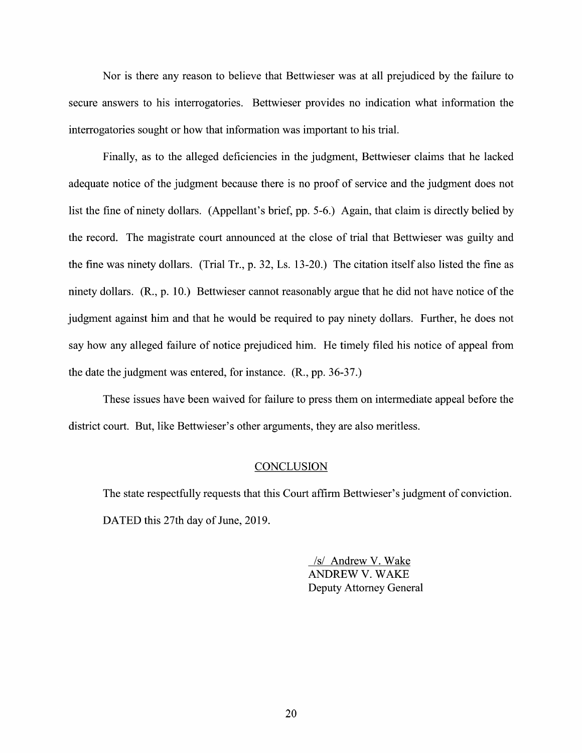Nor is there any reason to believe that Bettwieser was at all prejudiced by the failure to secure answers to his interrogatories. Bettwieser provides no indication what information the interrogatories sought or how that information was important to his trial.

Finally, as to the alleged deficiencies in the judgment, Bettwieser claims that he lacked adequate notice of the judgment because there is no proof of service and the judgment does not list the fine of ninety dollars. (Appellant's brief, pp. 5-6.) Again, that claim is directly belied by the record. The magistrate court announced at the close 0f trial that Bettwieser was guilty and the fine was ninety dollars. (Trial Tr., p. 32, Ls. 13-20.) The citation itself also listed the fine as ninety dollars. (R., p. 10.) Bettwieser cannot reasonably argue that he did not have notice of the judgment against him and that he would be required to pay ninety dollars. Further, he does not say how any alleged failure of notice prejudiced him. He timely filed his notice of appeal from the date the judgment was entered, for instance. (R., pp. 36-37.)

These issues have been waived for failure to press them 0n intermediate appeal before the district court. But, like Bettwieser's other arguments, they are also meritless.

#### **CONCLUSION**

The state respectfully requests that this Court affirm Bettwieser's judgment of conviction. DATED this 27th day of June, 2019.

> /s/ Andrew V. Wake ANDREW V. WAKE Deputy Attorney General